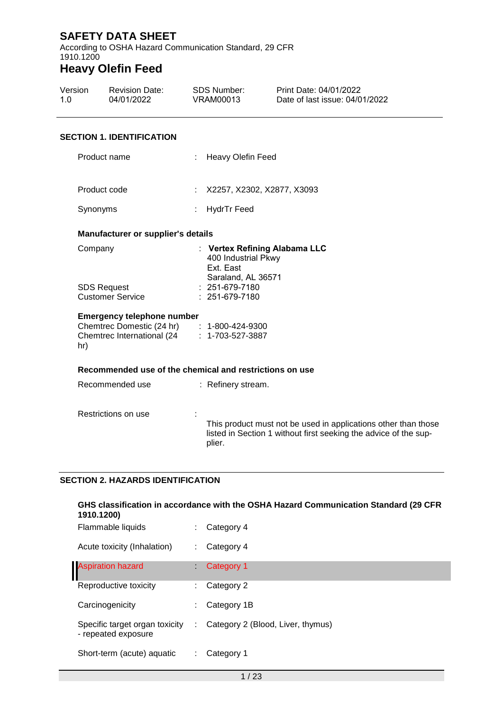According to OSHA Hazard Communication Standard, 29 CFR 1910.1200

# **Heavy Olefin Feed**

| Version<br>1.0 | <b>Revision Date:</b><br>04/01/2022 |    | SDS Number:<br>VRAM00013   | Print Date: 04/01/2022<br>Date of last issue: 04/01/2022 |
|----------------|-------------------------------------|----|----------------------------|----------------------------------------------------------|
|                | <b>SECTION 1. IDENTIFICATION</b>    |    |                            |                                                          |
| Product name   |                                     |    | : Heavy Olefin Feed        |                                                          |
| Product code   |                                     | ÷. | X2257, X2302, X2877, X3093 |                                                          |
| Synonyms       |                                     |    | HydrTr Feed                |                                                          |
|                |                                     |    |                            |                                                          |

#### **Manufacturer or supplier's details**

| : Vertex Refining Alabama LLC |
|-------------------------------|
| 400 Industrial Pkwy           |
| Ext. East                     |
| Saraland, AL 36571            |
| $: 251-679-7180$              |
| $: 251-679-7180$              |
|                               |

#### **Emergency telephone number**

| Chemtrec Domestic (24 hr)   | $: 1 - 800 - 424 - 9300$ |
|-----------------------------|--------------------------|
| Chemtrec International (24) | $: 1 - 703 - 527 - 3887$ |
| hr)                         |                          |

#### **Recommended use of the chemical and restrictions on use**

| Recommended use     | : Refinery stream.                                               |
|---------------------|------------------------------------------------------------------|
| Restrictions on use | This product must not be used in applications other than those   |
|                     | listed in Section 1 without first seeking the advice of the sup- |
|                     | plier.                                                           |

### **SECTION 2. HAZARDS IDENTIFICATION**

| GHS classification in accordance with the OSHA Hazard Communication Standard (29 CFR<br>1910.1200) |   |                                   |  |  |
|----------------------------------------------------------------------------------------------------|---|-----------------------------------|--|--|
| Flammable liquids                                                                                  |   | Category 4                        |  |  |
| Acute toxicity (Inhalation)                                                                        |   | Category 4                        |  |  |
| <b>Aspiration hazard</b>                                                                           |   | Category 1                        |  |  |
| Reproductive toxicity                                                                              | ÷ | Category 2                        |  |  |
| Carcinogenicity                                                                                    |   | Category 1B                       |  |  |
| Specific target organ toxicity<br>- repeated exposure                                              | ÷ | Category 2 (Blood, Liver, thymus) |  |  |
| Short-term (acute) aquatic                                                                         |   | Category 1                        |  |  |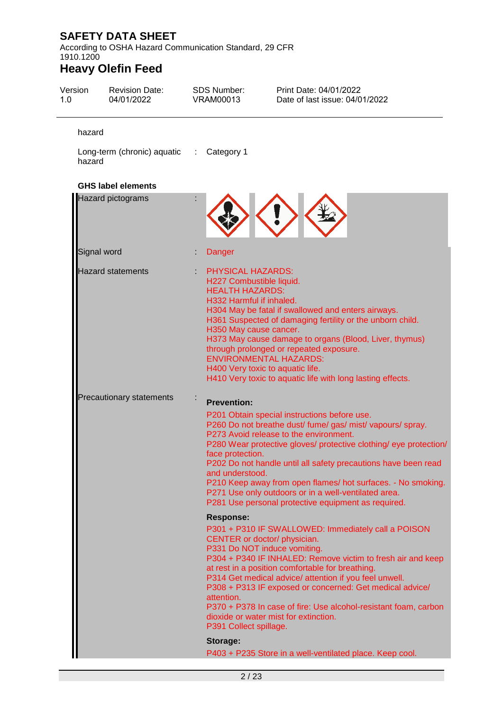According to OSHA Hazard Communication Standard, 29 CFR 1910.1200

| Version<br>1.0 | <b>Revision Date:</b><br>04/01/2022      | <b>SDS Number:</b><br><b>VRAM00013</b>                                                                                                                                                            | Print Date: 04/01/2022<br>Date of last issue: 04/01/2022                                                                                                                                                                                                                                                                                                                                                                                                                                                                                                                                                                                                                                                                                                                                                                                                                               |
|----------------|------------------------------------------|---------------------------------------------------------------------------------------------------------------------------------------------------------------------------------------------------|----------------------------------------------------------------------------------------------------------------------------------------------------------------------------------------------------------------------------------------------------------------------------------------------------------------------------------------------------------------------------------------------------------------------------------------------------------------------------------------------------------------------------------------------------------------------------------------------------------------------------------------------------------------------------------------------------------------------------------------------------------------------------------------------------------------------------------------------------------------------------------------|
| hazard         |                                          |                                                                                                                                                                                                   |                                                                                                                                                                                                                                                                                                                                                                                                                                                                                                                                                                                                                                                                                                                                                                                                                                                                                        |
| hazard         | Long-term (chronic) aquatic : Category 1 |                                                                                                                                                                                                   |                                                                                                                                                                                                                                                                                                                                                                                                                                                                                                                                                                                                                                                                                                                                                                                                                                                                                        |
|                | <b>GHS label elements</b>                |                                                                                                                                                                                                   |                                                                                                                                                                                                                                                                                                                                                                                                                                                                                                                                                                                                                                                                                                                                                                                                                                                                                        |
|                | Hazard pictograms                        |                                                                                                                                                                                                   |                                                                                                                                                                                                                                                                                                                                                                                                                                                                                                                                                                                                                                                                                                                                                                                                                                                                                        |
|                | Signal word                              | Danger                                                                                                                                                                                            |                                                                                                                                                                                                                                                                                                                                                                                                                                                                                                                                                                                                                                                                                                                                                                                                                                                                                        |
|                | <b>Hazard statements</b>                 | <b>PHYSICAL HAZARDS:</b><br>H227 Combustible liquid.<br><b>HEALTH HAZARDS:</b><br>H332 Harmful if inhaled.<br>H350 May cause cancer.<br>H400 Very toxic to aquatic life.                          | H304 May be fatal if swallowed and enters airways.<br>H361 Suspected of damaging fertility or the unborn child.<br>H373 May cause damage to organs (Blood, Liver, thymus)<br>through prolonged or repeated exposure.<br><b>ENVIRONMENTAL HAZARDS:</b><br>H410 Very toxic to aquatic life with long lasting effects.                                                                                                                                                                                                                                                                                                                                                                                                                                                                                                                                                                    |
|                | <b>Precautionary statements</b>          | <b>Prevention:</b><br>face protection.<br>and understood.<br><b>Response:</b><br>CENTER or doctor/ physician.<br>P331 Do NOT induce vomiting.<br>attention.<br>P391 Collect spillage.<br>Storage: | P201 Obtain special instructions before use.<br>P260 Do not breathe dust/ fume/ gas/ mist/ vapours/ spray.<br>P273 Avoid release to the environment.<br>P280 Wear protective gloves/ protective clothing/ eye protection/<br>P202 Do not handle until all safety precautions have been read<br>P210 Keep away from open flames/ hot surfaces. - No smoking.<br>P271 Use only outdoors or in a well-ventilated area.<br>P281 Use personal protective equipment as required.<br>P301 + P310 IF SWALLOWED: Immediately call a POISON<br>P304 + P340 IF INHALED: Remove victim to fresh air and keep<br>at rest in a position comfortable for breathing.<br>P314 Get medical advice/ attention if you feel unwell.<br>P308 + P313 IF exposed or concerned: Get medical advice/<br>P370 + P378 In case of fire: Use alcohol-resistant foam, carbon<br>dioxide or water mist for extinction. |
|                |                                          |                                                                                                                                                                                                   | P403 + P235 Store in a well-ventilated place. Keep cool.                                                                                                                                                                                                                                                                                                                                                                                                                                                                                                                                                                                                                                                                                                                                                                                                                               |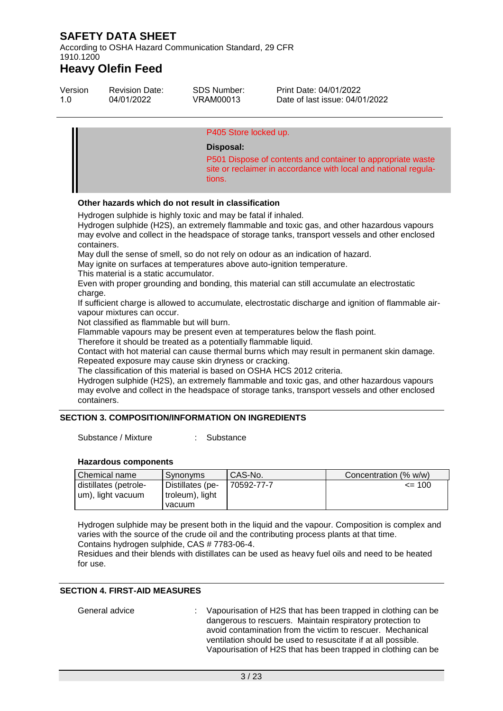According to OSHA Hazard Communication Standard, 29 CFR 1910.1200

## **Heavy Olefin Feed**

| Version | <b>Revision Date:</b> | SDS Number: | Print Date: 04/01/2022         |
|---------|-----------------------|-------------|--------------------------------|
| 1.0     | 04/01/2022            | VRAM00013   | Date of last issue: 04/01/2022 |
|         |                       |             |                                |

#### P405 Store locked up.

#### **Disposal:**

P501 Dispose of contents and container to appropriate waste site or reclaimer in accordance with local and national regulations.

#### **Other hazards which do not result in classification**

Hydrogen sulphide is highly toxic and may be fatal if inhaled.

Hydrogen sulphide (H2S), an extremely flammable and toxic gas, and other hazardous vapours may evolve and collect in the headspace of storage tanks, transport vessels and other enclosed containers.

May dull the sense of smell, so do not rely on odour as an indication of hazard.

May ignite on surfaces at temperatures above auto-ignition temperature.

This material is a static accumulator.

Even with proper grounding and bonding, this material can still accumulate an electrostatic charge.

If sufficient charge is allowed to accumulate, electrostatic discharge and ignition of flammable airvapour mixtures can occur.

Not classified as flammable but will burn.

Flammable vapours may be present even at temperatures below the flash point.

Therefore it should be treated as a potentially flammable liquid.

Contact with hot material can cause thermal burns which may result in permanent skin damage. Repeated exposure may cause skin dryness or cracking.

The classification of this material is based on OSHA HCS 2012 criteria.

Hydrogen sulphide (H2S), an extremely flammable and toxic gas, and other hazardous vapours may evolve and collect in the headspace of storage tanks, transport vessels and other enclosed containers.

#### **SECTION 3. COMPOSITION/INFORMATION ON INGREDIENTS**

Substance / Mixture : Substance

#### **Hazardous components**

| Chemical name         | Synonyms         | CAS-No.    | Concentration (% w/w) |
|-----------------------|------------------|------------|-----------------------|
| distillates (petrole- | Distillates (pe- | 70592-77-7 | $\leq$ 100            |
| um), light vacuum     | troleum), light  |            |                       |
|                       | vacuum           |            |                       |

Hydrogen sulphide may be present both in the liquid and the vapour. Composition is complex and varies with the source of the crude oil and the contributing process plants at that time. Contains hydrogen sulphide, CAS # 7783-06-4.

Residues and their blends with distillates can be used as heavy fuel oils and need to be heated for use.

### **SECTION 4. FIRST-AID MEASURES**

General advice : Vapourisation of H2S that has been trapped in clothing can be dangerous to rescuers. Maintain respiratory protection to avoid contamination from the victim to rescuer. Mechanical ventilation should be used to resuscitate if at all possible. Vapourisation of H2S that has been trapped in clothing can be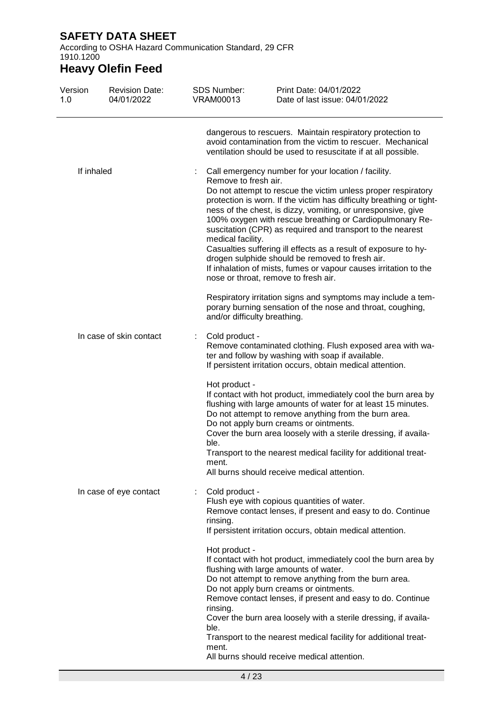According to OSHA Hazard Communication Standard, 29 CFR 1910.1200

| Version<br>1.0 | <b>Revision Date:</b><br>04/01/2022 | <b>SDS Number:</b><br><b>VRAM00013</b>         | Print Date: 04/01/2022<br>Date of last issue: 04/01/2022                                                                                                                                                                                                                                                                                                                                                                                                                                                                                                                                                                                                                                                                                               |
|----------------|-------------------------------------|------------------------------------------------|--------------------------------------------------------------------------------------------------------------------------------------------------------------------------------------------------------------------------------------------------------------------------------------------------------------------------------------------------------------------------------------------------------------------------------------------------------------------------------------------------------------------------------------------------------------------------------------------------------------------------------------------------------------------------------------------------------------------------------------------------------|
|                |                                     |                                                | dangerous to rescuers. Maintain respiratory protection to<br>avoid contamination from the victim to rescuer. Mechanical<br>ventilation should be used to resuscitate if at all possible.                                                                                                                                                                                                                                                                                                                                                                                                                                                                                                                                                               |
| If inhaled     |                                     | Remove to fresh air.<br>medical facility.      | Call emergency number for your location / facility.<br>Do not attempt to rescue the victim unless proper respiratory<br>protection is worn. If the victim has difficulty breathing or tight-<br>ness of the chest, is dizzy, vomiting, or unresponsive, give<br>100% oxygen with rescue breathing or Cardiopulmonary Re-<br>suscitation (CPR) as required and transport to the nearest<br>Casualties suffering ill effects as a result of exposure to hy-<br>drogen sulphide should be removed to fresh air.<br>If inhalation of mists, fumes or vapour causes irritation to the<br>nose or throat, remove to fresh air.<br>Respiratory irritation signs and symptoms may include a tem-<br>porary burning sensation of the nose and throat, coughing, |
|                | In case of skin contact             | and/or difficulty breathing.<br>Cold product - | Remove contaminated clothing. Flush exposed area with wa-<br>ter and follow by washing with soap if available.<br>If persistent irritation occurs, obtain medical attention.                                                                                                                                                                                                                                                                                                                                                                                                                                                                                                                                                                           |
|                |                                     | Hot product -<br>ble.<br>ment.                 | If contact with hot product, immediately cool the burn area by<br>flushing with large amounts of water for at least 15 minutes.<br>Do not attempt to remove anything from the burn area.<br>Do not apply burn creams or ointments.<br>Cover the burn area loosely with a sterile dressing, if availa-<br>Transport to the nearest medical facility for additional treat-<br>All burns should receive medical attention.                                                                                                                                                                                                                                                                                                                                |
|                | In case of eye contact              | Cold product -<br>rinsing.                     | Flush eye with copious quantities of water.<br>Remove contact lenses, if present and easy to do. Continue<br>If persistent irritation occurs, obtain medical attention.                                                                                                                                                                                                                                                                                                                                                                                                                                                                                                                                                                                |
|                |                                     | Hot product -<br>rinsing.<br>ble.<br>ment.     | If contact with hot product, immediately cool the burn area by<br>flushing with large amounts of water.<br>Do not attempt to remove anything from the burn area.<br>Do not apply burn creams or ointments.<br>Remove contact lenses, if present and easy to do. Continue<br>Cover the burn area loosely with a sterile dressing, if availa-<br>Transport to the nearest medical facility for additional treat-<br>All burns should receive medical attention.                                                                                                                                                                                                                                                                                          |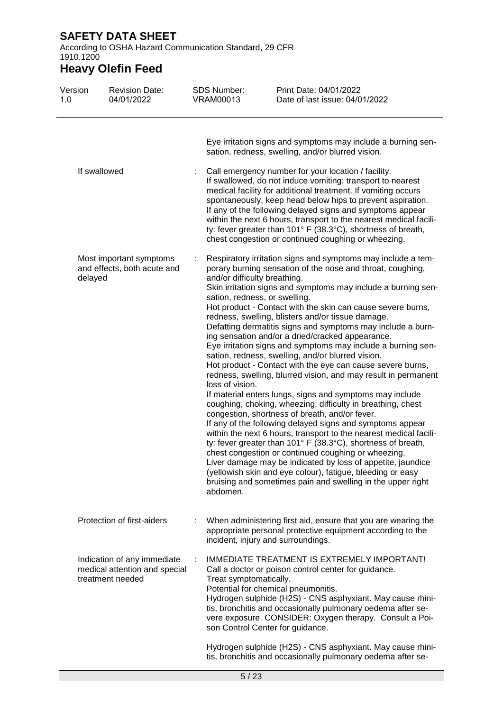According to OSHA Hazard Communication Standard, 29 CFR 1910.1200

| Version<br>1.0 | <b>Revision Date:</b><br>04/01/2022                                              | <b>SDS Number:</b><br><b>VRAM00013</b>                      | Print Date: 04/01/2022<br>Date of last issue: 04/01/2022                                                                                                                                                                                                                                                                                                                                                                                                                                                                                                                                                                                                                                                                                                                                                                                                                                                                                                                                                                                                                                                                                                                                                                                                                                                                                                                                                          |  |
|----------------|----------------------------------------------------------------------------------|-------------------------------------------------------------|-------------------------------------------------------------------------------------------------------------------------------------------------------------------------------------------------------------------------------------------------------------------------------------------------------------------------------------------------------------------------------------------------------------------------------------------------------------------------------------------------------------------------------------------------------------------------------------------------------------------------------------------------------------------------------------------------------------------------------------------------------------------------------------------------------------------------------------------------------------------------------------------------------------------------------------------------------------------------------------------------------------------------------------------------------------------------------------------------------------------------------------------------------------------------------------------------------------------------------------------------------------------------------------------------------------------------------------------------------------------------------------------------------------------|--|
|                |                                                                                  |                                                             | Eye irritation signs and symptoms may include a burning sen-<br>sation, redness, swelling, and/or blurred vision.                                                                                                                                                                                                                                                                                                                                                                                                                                                                                                                                                                                                                                                                                                                                                                                                                                                                                                                                                                                                                                                                                                                                                                                                                                                                                                 |  |
|                | If swallowed                                                                     |                                                             | Call emergency number for your location / facility.<br>If swallowed, do not induce vomiting: transport to nearest<br>medical facility for additional treatment. If vomiting occurs<br>spontaneously, keep head below hips to prevent aspiration.<br>If any of the following delayed signs and symptoms appear<br>within the next 6 hours, transport to the nearest medical facili-<br>ty: fever greater than 101° F (38.3°C), shortness of breath,                                                                                                                                                                                                                                                                                                                                                                                                                                                                                                                                                                                                                                                                                                                                                                                                                                                                                                                                                                |  |
| delayed        | Most important symptoms<br>and effects, both acute and                           | and/or difficulty breathing.<br>loss of vision.<br>abdomen. | chest congestion or continued coughing or wheezing.<br>Respiratory irritation signs and symptoms may include a tem-<br>porary burning sensation of the nose and throat, coughing,<br>Skin irritation signs and symptoms may include a burning sen-<br>sation, redness, or swelling.<br>Hot product - Contact with the skin can cause severe burns,<br>redness, swelling, blisters and/or tissue damage.<br>Defatting dermatitis signs and symptoms may include a burn-<br>ing sensation and/or a dried/cracked appearance.<br>Eye irritation signs and symptoms may include a burning sen-<br>sation, redness, swelling, and/or blurred vision.<br>Hot product - Contact with the eye can cause severe burns,<br>redness, swelling, blurred vision, and may result in permanent<br>If material enters lungs, signs and symptoms may include<br>coughing, choking, wheezing, difficulty in breathing, chest<br>congestion, shortness of breath, and/or fever.<br>If any of the following delayed signs and symptoms appear<br>within the next 6 hours, transport to the nearest medical facili-<br>ty: fever greater than 101° F (38.3°C), shortness of breath,<br>chest congestion or continued coughing or wheezing.<br>Liver damage may be indicated by loss of appetite, jaundice<br>(yellowish skin and eye colour), fatigue, bleeding or easy<br>bruising and sometimes pain and swelling in the upper right |  |
|                | Protection of first-aiders                                                       |                                                             | When administering first aid, ensure that you are wearing the<br>appropriate personal protective equipment according to the<br>incident, injury and surroundings.                                                                                                                                                                                                                                                                                                                                                                                                                                                                                                                                                                                                                                                                                                                                                                                                                                                                                                                                                                                                                                                                                                                                                                                                                                                 |  |
|                | Indication of any immediate<br>medical attention and special<br>treatment needed | Treat symptomatically.                                      | IMMEDIATE TREATMENT IS EXTREMELY IMPORTANT!<br>Call a doctor or poison control center for guidance.<br>Potential for chemical pneumonitis.<br>Hydrogen sulphide (H2S) - CNS asphyxiant. May cause rhini-<br>tis, bronchitis and occasionally pulmonary oedema after se-<br>vere exposure. CONSIDER: Oxygen therapy. Consult a Poi-<br>son Control Center for guidance.                                                                                                                                                                                                                                                                                                                                                                                                                                                                                                                                                                                                                                                                                                                                                                                                                                                                                                                                                                                                                                            |  |
|                |                                                                                  |                                                             | Hydrogen sulphide (H2S) - CNS asphyxiant. May cause rhini-<br>tis, bronchitis and occasionally pulmonary oedema after se-                                                                                                                                                                                                                                                                                                                                                                                                                                                                                                                                                                                                                                                                                                                                                                                                                                                                                                                                                                                                                                                                                                                                                                                                                                                                                         |  |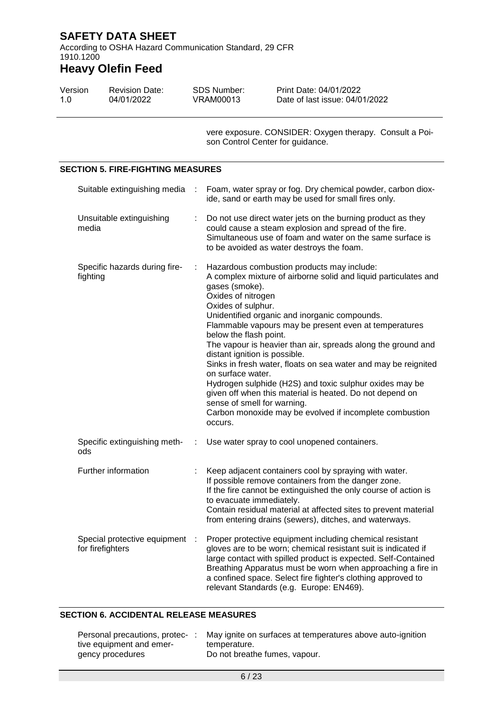According to OSHA Hazard Communication Standard, 29 CFR 1910.1200

## **Heavy Olefin Feed**

| Version | <b>Revision Date:</b> | SDS Number: | Print Date: 04/01/2022         |
|---------|-----------------------|-------------|--------------------------------|
| 1.0     | 04/01/2022            | VRAM00013   | Date of last issue: 04/01/2022 |

vere exposure. CONSIDER: Oxygen therapy. Consult a Poison Control Center for guidance.

#### **SECTION 5. FIRE-FIGHTING MEASURES** Suitable extinguishing media : Foam, water spray or fog. Dry chemical powder, carbon dioxide, sand or earth may be used for small fires only. Unsuitable extinguishing media : Do not use direct water jets on the burning product as they could cause a steam explosion and spread of the fire. Simultaneous use of foam and water on the same surface is to be avoided as water destroys the foam. Specific hazards during firefighting : Hazardous combustion products may include: A complex mixture of airborne solid and liquid particulates and gases (smoke). Oxides of nitrogen Oxides of sulphur. Unidentified organic and inorganic compounds. Flammable vapours may be present even at temperatures below the flash point. The vapour is heavier than air, spreads along the ground and distant ignition is possible. Sinks in fresh water, floats on sea water and may be reignited on surface water. Hydrogen sulphide (H2S) and toxic sulphur oxides may be given off when this material is heated. Do not depend on sense of smell for warning. Carbon monoxide may be evolved if incomplete combustion occurs. Specific extinguishing methods : Use water spray to cool unopened containers. Further information : Keep adjacent containers cool by spraying with water. If possible remove containers from the danger zone. If the fire cannot be extinguished the only course of action is to evacuate immediately. Contain residual material at affected sites to prevent material from entering drains (sewers), ditches, and waterways. Special protective equipment : for firefighters : Proper protective equipment including chemical resistant gloves are to be worn; chemical resistant suit is indicated if large contact with spilled product is expected. Self-Contained Breathing Apparatus must be worn when approaching a fire in a confined space. Select fire fighter's clothing approved to relevant Standards (e.g. Europe: EN469).

#### **SECTION 6. ACCIDENTAL RELEASE MEASURES**

| Personal precautions, protec- | May ignite on surfaces at temperatures above auto-ignition |
|-------------------------------|------------------------------------------------------------|
| tive equipment and emer-      | temperature.                                               |
| gency procedures              | Do not breathe fumes, vapour.                              |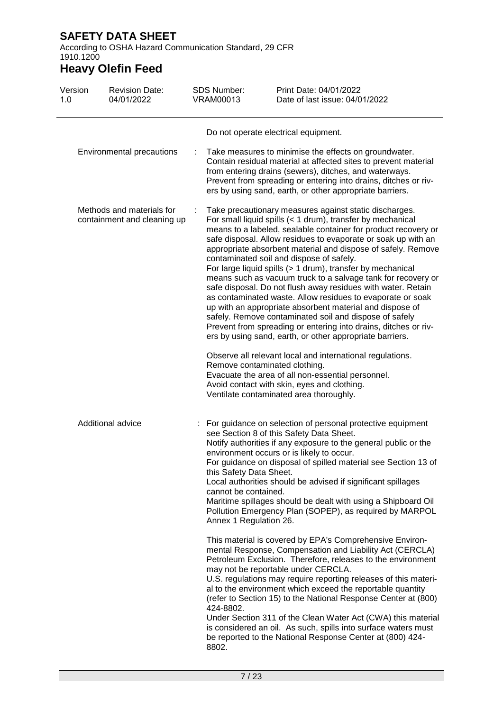According to OSHA Hazard Communication Standard, 29 CFR 1910.1200

| Version<br>1.0 | <b>Revision Date:</b><br>04/01/2022                      |   | <b>SDS Number:</b><br><b>VRAM00013</b>                                    | Print Date: 04/01/2022<br>Date of last issue: 04/01/2022                                                                                                                                                                                                                                                                                                                                                                                                                                                                                                                                                                                                                                                                                                                                                                                                                             |
|----------------|----------------------------------------------------------|---|---------------------------------------------------------------------------|--------------------------------------------------------------------------------------------------------------------------------------------------------------------------------------------------------------------------------------------------------------------------------------------------------------------------------------------------------------------------------------------------------------------------------------------------------------------------------------------------------------------------------------------------------------------------------------------------------------------------------------------------------------------------------------------------------------------------------------------------------------------------------------------------------------------------------------------------------------------------------------|
|                |                                                          |   |                                                                           | Do not operate electrical equipment.                                                                                                                                                                                                                                                                                                                                                                                                                                                                                                                                                                                                                                                                                                                                                                                                                                                 |
|                | Environmental precautions                                | ÷ |                                                                           | Take measures to minimise the effects on groundwater.<br>Contain residual material at affected sites to prevent material<br>from entering drains (sewers), ditches, and waterways.<br>Prevent from spreading or entering into drains, ditches or riv-<br>ers by using sand, earth, or other appropriate barriers.                                                                                                                                                                                                                                                                                                                                                                                                                                                                                                                                                                    |
|                | Methods and materials for<br>containment and cleaning up |   |                                                                           | Take precautionary measures against static discharges.<br>For small liquid spills (< 1 drum), transfer by mechanical<br>means to a labeled, sealable container for product recovery or<br>safe disposal. Allow residues to evaporate or soak up with an<br>appropriate absorbent material and dispose of safely. Remove<br>contaminated soil and dispose of safely.<br>For large liquid spills (> 1 drum), transfer by mechanical<br>means such as vacuum truck to a salvage tank for recovery or<br>safe disposal. Do not flush away residues with water. Retain<br>as contaminated waste. Allow residues to evaporate or soak<br>up with an appropriate absorbent material and dispose of<br>safely. Remove contaminated soil and dispose of safely<br>Prevent from spreading or entering into drains, ditches or riv-<br>ers by using sand, earth, or other appropriate barriers. |
|                |                                                          |   |                                                                           | Observe all relevant local and international regulations.<br>Remove contaminated clothing.<br>Evacuate the area of all non-essential personnel.<br>Avoid contact with skin, eyes and clothing.<br>Ventilate contaminated area thoroughly.                                                                                                                                                                                                                                                                                                                                                                                                                                                                                                                                                                                                                                            |
|                | Additional advice                                        |   | this Safety Data Sheet.<br>cannot be contained.<br>Annex 1 Regulation 26. | For guidance on selection of personal protective equipment<br>see Section 8 of this Safety Data Sheet.<br>Notify authorities if any exposure to the general public or the<br>environment occurs or is likely to occur.<br>For guidance on disposal of spilled material see Section 13 of<br>Local authorities should be advised if significant spillages<br>Maritime spillages should be dealt with using a Shipboard Oil<br>Pollution Emergency Plan (SOPEP), as required by MARPOL                                                                                                                                                                                                                                                                                                                                                                                                 |
|                |                                                          |   | 424-8802.<br>8802.                                                        | This material is covered by EPA's Comprehensive Environ-<br>mental Response, Compensation and Liability Act (CERCLA)<br>Petroleum Exclusion. Therefore, releases to the environment<br>may not be reportable under CERCLA.<br>U.S. regulations may require reporting releases of this materi-<br>al to the environment which exceed the reportable quantity<br>(refer to Section 15) to the National Response Center at (800)<br>Under Section 311 of the Clean Water Act (CWA) this material<br>is considered an oil. As such, spills into surface waters must<br>be reported to the National Response Center at (800) 424-                                                                                                                                                                                                                                                         |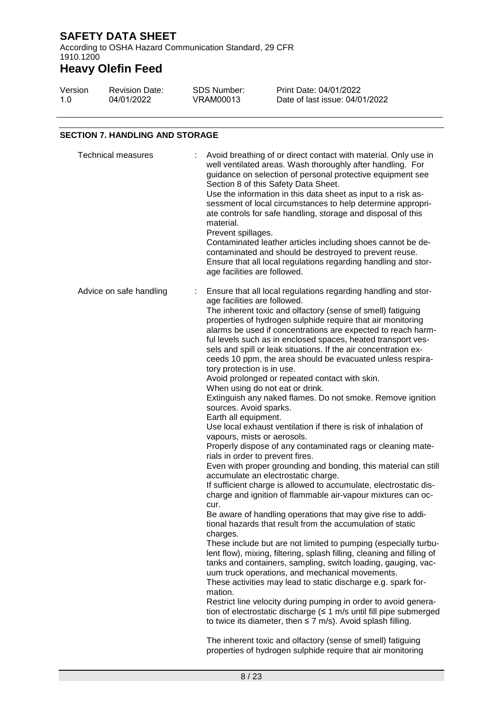According to OSHA Hazard Communication Standard, 29 CFR 1910.1200

# **Heavy Olefin Feed**

| Version | <b>Revision Date:</b> | SDS Number: | Print Date: 04/01/2022         |
|---------|-----------------------|-------------|--------------------------------|
| 1.0     | 04/01/2022            | VRAM00013   | Date of last issue: 04/01/2022 |

### **SECTION 7. HANDLING AND STORAGE**

| <b>Technical measures</b> | Avoid breathing of or direct contact with material. Only use in<br>well ventilated areas. Wash thoroughly after handling. For<br>guidance on selection of personal protective equipment see<br>Section 8 of this Safety Data Sheet.<br>Use the information in this data sheet as input to a risk as-<br>sessment of local circumstances to help determine appropri-<br>ate controls for safe handling, storage and disposal of this<br>material.<br>Prevent spillages.<br>Contaminated leather articles including shoes cannot be de-<br>contaminated and should be destroyed to prevent reuse.<br>Ensure that all local regulations regarding handling and stor-<br>age facilities are followed.                                                                                                                                                                                                                                                                                                                                                                                                                                                                                                                                                                                                                                                                                                                                                                                                                                                                                                                                                                                                                                                                                                                                                                                                                                                                                                                                            |  |
|---------------------------|----------------------------------------------------------------------------------------------------------------------------------------------------------------------------------------------------------------------------------------------------------------------------------------------------------------------------------------------------------------------------------------------------------------------------------------------------------------------------------------------------------------------------------------------------------------------------------------------------------------------------------------------------------------------------------------------------------------------------------------------------------------------------------------------------------------------------------------------------------------------------------------------------------------------------------------------------------------------------------------------------------------------------------------------------------------------------------------------------------------------------------------------------------------------------------------------------------------------------------------------------------------------------------------------------------------------------------------------------------------------------------------------------------------------------------------------------------------------------------------------------------------------------------------------------------------------------------------------------------------------------------------------------------------------------------------------------------------------------------------------------------------------------------------------------------------------------------------------------------------------------------------------------------------------------------------------------------------------------------------------------------------------------------------------|--|
| Advice on safe handling   | Ensure that all local regulations regarding handling and stor-<br>t.<br>age facilities are followed.<br>The inherent toxic and olfactory (sense of smell) fatiguing<br>properties of hydrogen sulphide require that air monitoring<br>alarms be used if concentrations are expected to reach harm-<br>ful levels such as in enclosed spaces, heated transport ves-<br>sels and spill or leak situations. If the air concentration ex-<br>ceeds 10 ppm, the area should be evacuated unless respira-<br>tory protection is in use.<br>Avoid prolonged or repeated contact with skin.<br>When using do not eat or drink.<br>Extinguish any naked flames. Do not smoke. Remove ignition<br>sources. Avoid sparks.<br>Earth all equipment.<br>Use local exhaust ventilation if there is risk of inhalation of<br>vapours, mists or aerosols.<br>Properly dispose of any contaminated rags or cleaning mate-<br>rials in order to prevent fires.<br>Even with proper grounding and bonding, this material can still<br>accumulate an electrostatic charge.<br>If sufficient charge is allowed to accumulate, electrostatic dis-<br>charge and ignition of flammable air-vapour mixtures can oc-<br>cur.<br>Be aware of handling operations that may give rise to addi-<br>tional hazards that result from the accumulation of static<br>charges.<br>These include but are not limited to pumping (especially turbu-<br>lent flow), mixing, filtering, splash filling, cleaning and filling of<br>tanks and containers, sampling, switch loading, gauging, vac-<br>uum truck operations, and mechanical movements.<br>These activities may lead to static discharge e.g. spark for-<br>mation.<br>Restrict line velocity during pumping in order to avoid genera-<br>tion of electrostatic discharge $(51 \text{ m/s}$ until fill pipe submerged<br>to twice its diameter, then $\leq$ 7 m/s). Avoid splash filling.<br>The inherent toxic and olfactory (sense of smell) fatiguing<br>properties of hydrogen sulphide require that air monitoring |  |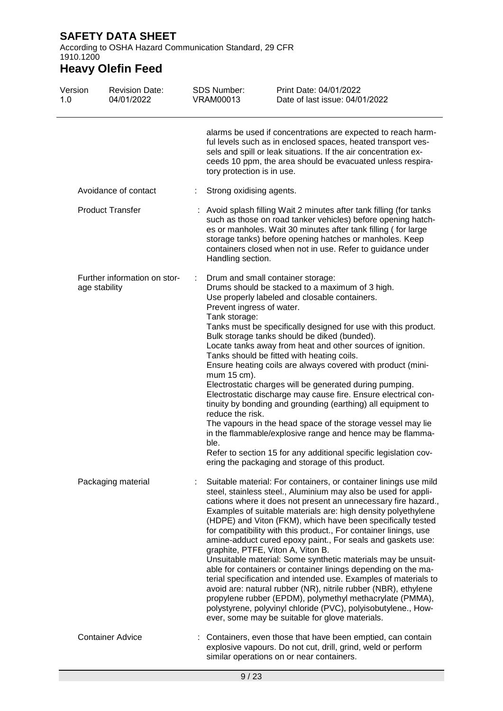According to OSHA Hazard Communication Standard, 29 CFR 1910.1200

| Version<br>1.0 | <b>Revision Date:</b><br>04/01/2022           | <b>SDS Number:</b><br><b>VRAM00013</b>                                                | Print Date: 04/01/2022<br>Date of last issue: 04/01/2022                                                                                                                                                                                                                                                                                                                                                                                                                                                                                                                                                                                                                                                                                                                                                                                                                                                                                                           |
|----------------|-----------------------------------------------|---------------------------------------------------------------------------------------|--------------------------------------------------------------------------------------------------------------------------------------------------------------------------------------------------------------------------------------------------------------------------------------------------------------------------------------------------------------------------------------------------------------------------------------------------------------------------------------------------------------------------------------------------------------------------------------------------------------------------------------------------------------------------------------------------------------------------------------------------------------------------------------------------------------------------------------------------------------------------------------------------------------------------------------------------------------------|
|                |                                               | tory protection is in use.                                                            | alarms be used if concentrations are expected to reach harm-<br>ful levels such as in enclosed spaces, heated transport ves-<br>sels and spill or leak situations. If the air concentration ex-<br>ceeds 10 ppm, the area should be evacuated unless respira-                                                                                                                                                                                                                                                                                                                                                                                                                                                                                                                                                                                                                                                                                                      |
|                | Avoidance of contact                          | Strong oxidising agents.<br>÷.                                                        |                                                                                                                                                                                                                                                                                                                                                                                                                                                                                                                                                                                                                                                                                                                                                                                                                                                                                                                                                                    |
|                | <b>Product Transfer</b>                       | Handling section.                                                                     | Avoid splash filling Wait 2 minutes after tank filling (for tanks<br>such as those on road tanker vehicles) before opening hatch-<br>es or manholes. Wait 30 minutes after tank filling (for large<br>storage tanks) before opening hatches or manholes. Keep<br>containers closed when not in use. Refer to guidance under                                                                                                                                                                                                                                                                                                                                                                                                                                                                                                                                                                                                                                        |
|                | Further information on stor-<br>age stability | Prevent ingress of water.<br>Tank storage:<br>mum 15 cm).<br>reduce the risk.<br>ble. | Drum and small container storage:<br>Drums should be stacked to a maximum of 3 high.<br>Use properly labeled and closable containers.<br>Tanks must be specifically designed for use with this product.<br>Bulk storage tanks should be diked (bunded).<br>Locate tanks away from heat and other sources of ignition.<br>Tanks should be fitted with heating coils.<br>Ensure heating coils are always covered with product (mini-<br>Electrostatic charges will be generated during pumping.<br>Electrostatic discharge may cause fire. Ensure electrical con-<br>tinuity by bonding and grounding (earthing) all equipment to<br>The vapours in the head space of the storage vessel may lie<br>in the flammable/explosive range and hence may be flamma-<br>Refer to section 15 for any additional specific legislation cov-<br>ering the packaging and storage of this product.                                                                                |
|                | Packaging material                            |                                                                                       | Suitable material: For containers, or container linings use mild<br>steel, stainless steel., Aluminium may also be used for appli-<br>cations where it does not present an unnecessary fire hazard.,<br>Examples of suitable materials are: high density polyethylene<br>(HDPE) and Viton (FKM), which have been specifically tested<br>for compatibility with this product., For container linings, use<br>amine-adduct cured epoxy paint., For seals and gaskets use:<br>graphite, PTFE, Viton A, Viton B.<br>Unsuitable material: Some synthetic materials may be unsuit-<br>able for containers or container linings depending on the ma-<br>terial specification and intended use. Examples of materials to<br>avoid are: natural rubber (NR), nitrile rubber (NBR), ethylene<br>propylene rubber (EPDM), polymethyl methacrylate (PMMA),<br>polystyrene, polyvinyl chloride (PVC), polyisobutylene., How-<br>ever, some may be suitable for glove materials. |
|                | <b>Container Advice</b>                       |                                                                                       | Containers, even those that have been emptied, can contain<br>explosive vapours. Do not cut, drill, grind, weld or perform<br>similar operations on or near containers.                                                                                                                                                                                                                                                                                                                                                                                                                                                                                                                                                                                                                                                                                                                                                                                            |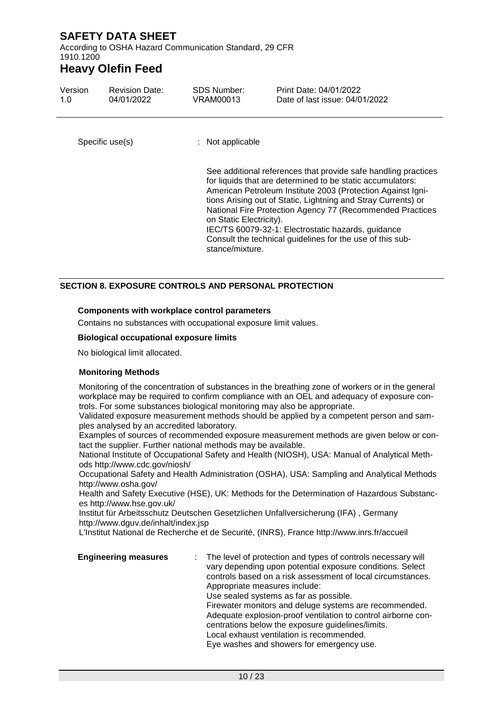According to OSHA Hazard Communication Standard, 29 CFR 1910.1200

## **Heavy Olefin Feed**

| Version<br>1.0  | <b>Revision Date:</b><br>04/01/2022 | <b>SDS Number:</b><br>VRAM00013            | Print Date: 04/01/2022<br>Date of last issue: 04/01/2022                                                                                                                                                                                                                                                                                                                                                                                     |
|-----------------|-------------------------------------|--------------------------------------------|----------------------------------------------------------------------------------------------------------------------------------------------------------------------------------------------------------------------------------------------------------------------------------------------------------------------------------------------------------------------------------------------------------------------------------------------|
| Specific use(s) |                                     | $:$ Not applicable                         |                                                                                                                                                                                                                                                                                                                                                                                                                                              |
|                 |                                     | on Static Electricity).<br>stance/mixture. | See additional references that provide safe handling practices<br>for liquids that are determined to be static accumulators:<br>American Petroleum Institute 2003 (Protection Against Igni-<br>tions Arising out of Static, Lightning and Stray Currents) or<br>National Fire Protection Agency 77 (Recommended Practices<br>IEC/TS 60079-32-1: Electrostatic hazards, guidance<br>Consult the technical guidelines for the use of this sub- |

### **SECTION 8. EXPOSURE CONTROLS AND PERSONAL PROTECTION**

#### **Components with workplace control parameters**

Contains no substances with occupational exposure limit values.

#### **Biological occupational exposure limits**

No biological limit allocated.

#### **Monitoring Methods**

Monitoring of the concentration of substances in the breathing zone of workers or in the general workplace may be required to confirm compliance with an OEL and adequacy of exposure controls. For some substances biological monitoring may also be appropriate.

Validated exposure measurement methods should be applied by a competent person and samples analysed by an accredited laboratory.

Examples of sources of recommended exposure measurement methods are given below or contact the supplier. Further national methods may be available.

National Institute of Occupational Safety and Health (NIOSH), USA: Manual of Analytical Methods http://www.cdc.gov/niosh/

Occupational Safety and Health Administration (OSHA), USA: Sampling and Analytical Methods http://www.osha.gov/

Health and Safety Executive (HSE), UK: Methods for the Determination of Hazardous Substances http://www.hse.gov.uk/

Institut für Arbeitsschutz Deutschen Gesetzlichen Unfallversicherung (IFA) , Germany http://www.dguv.de/inhalt/index.jsp

L'Institut National de Recherche et de Securité, (INRS), France http://www.inrs.fr/accueil

| <b>Engineering measures</b> | : The level of protection and types of controls necessary will<br>vary depending upon potential exposure conditions. Select<br>controls based on a risk assessment of local circumstances.<br>Appropriate measures include:<br>Use sealed systems as far as possible.  |
|-----------------------------|------------------------------------------------------------------------------------------------------------------------------------------------------------------------------------------------------------------------------------------------------------------------|
|                             | Firewater monitors and deluge systems are recommended.<br>Adequate explosion-proof ventilation to control airborne con-<br>centrations below the exposure guidelines/limits.<br>Local exhaust ventilation is recommended.<br>Eye washes and showers for emergency use. |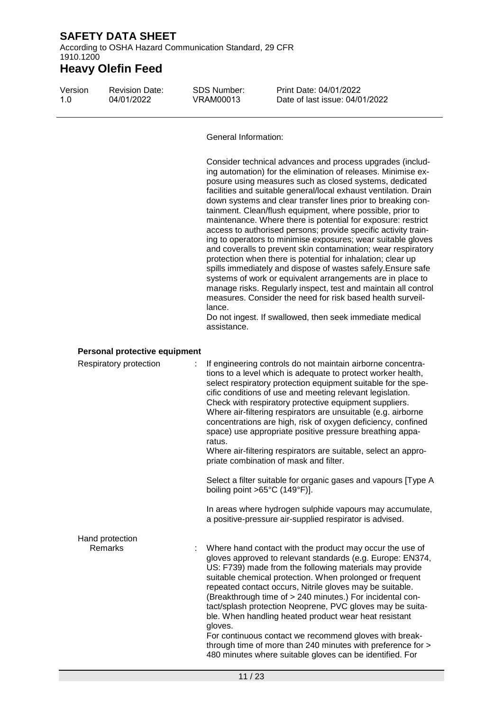According to OSHA Hazard Communication Standard, 29 CFR 1910.1200

| Version<br>1.0 | <b>Revision Date:</b><br>04/01/2022 | <b>SDS Number:</b><br><b>VRAM00013</b>  | Print Date: 04/01/2022<br>Date of last issue: 04/01/2022                                                                                                                                                                                                                                                                                                                                                                                                                                                                                                                                                                                                                                                                                                                                                                                                                                                                                                                                                                                           |
|----------------|-------------------------------------|-----------------------------------------|----------------------------------------------------------------------------------------------------------------------------------------------------------------------------------------------------------------------------------------------------------------------------------------------------------------------------------------------------------------------------------------------------------------------------------------------------------------------------------------------------------------------------------------------------------------------------------------------------------------------------------------------------------------------------------------------------------------------------------------------------------------------------------------------------------------------------------------------------------------------------------------------------------------------------------------------------------------------------------------------------------------------------------------------------|
|                |                                     | <b>General Information:</b>             |                                                                                                                                                                                                                                                                                                                                                                                                                                                                                                                                                                                                                                                                                                                                                                                                                                                                                                                                                                                                                                                    |
|                |                                     | lance.<br>assistance.                   | Consider technical advances and process upgrades (includ-<br>ing automation) for the elimination of releases. Minimise ex-<br>posure using measures such as closed systems, dedicated<br>facilities and suitable general/local exhaust ventilation. Drain<br>down systems and clear transfer lines prior to breaking con-<br>tainment. Clean/flush equipment, where possible, prior to<br>maintenance. Where there is potential for exposure: restrict<br>access to authorised persons; provide specific activity train-<br>ing to operators to minimise exposures; wear suitable gloves<br>and coveralls to prevent skin contamination; wear respiratory<br>protection when there is potential for inhalation; clear up<br>spills immediately and dispose of wastes safely. Ensure safe<br>systems of work or equivalent arrangements are in place to<br>manage risks. Regularly inspect, test and maintain all control<br>measures. Consider the need for risk based health surveil-<br>Do not ingest. If swallowed, then seek immediate medical |
|                | Personal protective equipment       |                                         |                                                                                                                                                                                                                                                                                                                                                                                                                                                                                                                                                                                                                                                                                                                                                                                                                                                                                                                                                                                                                                                    |
|                | Respiratory protection              | ratus.                                  | If engineering controls do not maintain airborne concentra-<br>tions to a level which is adequate to protect worker health,<br>select respiratory protection equipment suitable for the spe-<br>cific conditions of use and meeting relevant legislation.<br>Check with respiratory protective equipment suppliers.<br>Where air-filtering respirators are unsuitable (e.g. airborne<br>concentrations are high, risk of oxygen deficiency, confined<br>space) use appropriate positive pressure breathing appa-                                                                                                                                                                                                                                                                                                                                                                                                                                                                                                                                   |
|                |                                     |                                         | Where air-filtering respirators are suitable, select an appro-<br>priate combination of mask and filter.                                                                                                                                                                                                                                                                                                                                                                                                                                                                                                                                                                                                                                                                                                                                                                                                                                                                                                                                           |
|                |                                     | boiling point $>65^{\circ}$ C (149°F)]. | Select a filter suitable for organic gases and vapours [Type A                                                                                                                                                                                                                                                                                                                                                                                                                                                                                                                                                                                                                                                                                                                                                                                                                                                                                                                                                                                     |
|                |                                     |                                         | In areas where hydrogen sulphide vapours may accumulate,<br>a positive-pressure air-supplied respirator is advised.                                                                                                                                                                                                                                                                                                                                                                                                                                                                                                                                                                                                                                                                                                                                                                                                                                                                                                                                |
|                | Hand protection                     |                                         |                                                                                                                                                                                                                                                                                                                                                                                                                                                                                                                                                                                                                                                                                                                                                                                                                                                                                                                                                                                                                                                    |
|                | <b>Remarks</b>                      | gloves.                                 | Where hand contact with the product may occur the use of<br>gloves approved to relevant standards (e.g. Europe: EN374,<br>US: F739) made from the following materials may provide<br>suitable chemical protection. When prolonged or frequent<br>repeated contact occurs, Nitrile gloves may be suitable.<br>(Breakthrough time of > 240 minutes.) For incidental con-<br>tact/splash protection Neoprene, PVC gloves may be suita-<br>ble. When handling heated product wear heat resistant<br>For continuous contact we recommend gloves with break-<br>through time of more than 240 minutes with preference for ><br>480 minutes where suitable gloves can be identified. For                                                                                                                                                                                                                                                                                                                                                                  |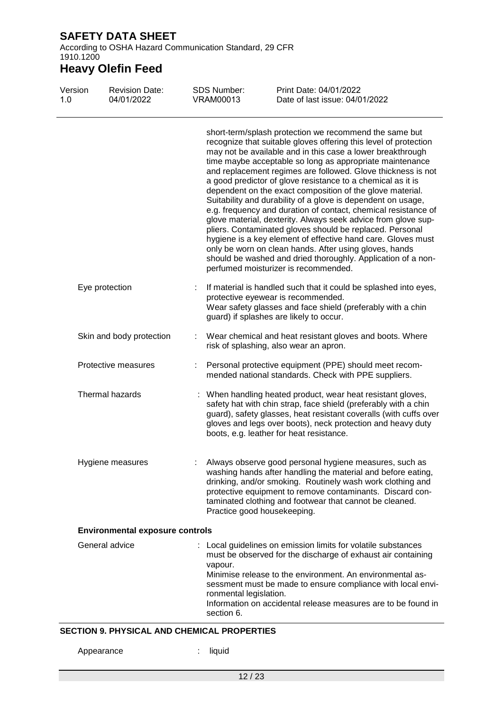According to OSHA Hazard Communication Standard, 29 CFR 1910.1200

# **Heavy Olefin Feed**

| Version<br>1.0 |                        | <b>Revision Date:</b><br>04/01/2022    |   | <b>SDS Number:</b><br><b>VRAM00013</b>          | Print Date: 04/01/2022<br>Date of last issue: 04/01/2022                                                                                                                                                                                                                                                                                                                                                                                                                                                                                                                                                                                                                                                                                                                                                                                                                                                                                          |
|----------------|------------------------|----------------------------------------|---|-------------------------------------------------|---------------------------------------------------------------------------------------------------------------------------------------------------------------------------------------------------------------------------------------------------------------------------------------------------------------------------------------------------------------------------------------------------------------------------------------------------------------------------------------------------------------------------------------------------------------------------------------------------------------------------------------------------------------------------------------------------------------------------------------------------------------------------------------------------------------------------------------------------------------------------------------------------------------------------------------------------|
|                |                        |                                        |   |                                                 | short-term/splash protection we recommend the same but<br>recognize that suitable gloves offering this level of protection<br>may not be available and in this case a lower breakthrough<br>time maybe acceptable so long as appropriate maintenance<br>and replacement regimes are followed. Glove thickness is not<br>a good predictor of glove resistance to a chemical as it is<br>dependent on the exact composition of the glove material.<br>Suitability and durability of a glove is dependent on usage,<br>e.g. frequency and duration of contact, chemical resistance of<br>glove material, dexterity. Always seek advice from glove sup-<br>pliers. Contaminated gloves should be replaced. Personal<br>hygiene is a key element of effective hand care. Gloves must<br>only be worn on clean hands. After using gloves, hands<br>should be washed and dried thoroughly. Application of a non-<br>perfumed moisturizer is recommended. |
|                | Eye protection         |                                        | ÷ |                                                 | If material is handled such that it could be splashed into eyes,<br>protective eyewear is recommended.<br>Wear safety glasses and face shield (preferably with a chin<br>guard) if splashes are likely to occur.                                                                                                                                                                                                                                                                                                                                                                                                                                                                                                                                                                                                                                                                                                                                  |
|                |                        | Skin and body protection               |   |                                                 | Wear chemical and heat resistant gloves and boots. Where<br>risk of splashing, also wear an apron.                                                                                                                                                                                                                                                                                                                                                                                                                                                                                                                                                                                                                                                                                                                                                                                                                                                |
|                |                        | Protective measures                    |   |                                                 | Personal protective equipment (PPE) should meet recom-<br>mended national standards. Check with PPE suppliers.                                                                                                                                                                                                                                                                                                                                                                                                                                                                                                                                                                                                                                                                                                                                                                                                                                    |
|                | <b>Thermal hazards</b> |                                        |   |                                                 | When handling heated product, wear heat resistant gloves,<br>safety hat with chin strap, face shield (preferably with a chin<br>guard), safety glasses, heat resistant coveralls (with cuffs over<br>gloves and legs over boots), neck protection and heavy duty<br>boots, e.g. leather for heat resistance.                                                                                                                                                                                                                                                                                                                                                                                                                                                                                                                                                                                                                                      |
|                |                        | Hygiene measures                       |   | Practice good housekeeping.                     | Always observe good personal hygiene measures, such as<br>washing hands after handling the material and before eating,<br>drinking, and/or smoking. Routinely wash work clothing and<br>protective equipment to remove contaminants. Discard con-<br>taminated clothing and footwear that cannot be cleaned.                                                                                                                                                                                                                                                                                                                                                                                                                                                                                                                                                                                                                                      |
|                |                        | <b>Environmental exposure controls</b> |   |                                                 |                                                                                                                                                                                                                                                                                                                                                                                                                                                                                                                                                                                                                                                                                                                                                                                                                                                                                                                                                   |
|                | General advice         |                                        |   | vapour.<br>ronmental legislation.<br>section 6. | : Local guidelines on emission limits for volatile substances<br>must be observed for the discharge of exhaust air containing<br>Minimise release to the environment. An environmental as-<br>sessment must be made to ensure compliance with local envi-<br>Information on accidental release measures are to be found in                                                                                                                                                                                                                                                                                                                                                                                                                                                                                                                                                                                                                        |

### **SECTION 9. PHYSICAL AND CHEMICAL PROPERTIES**

Appearance : liquid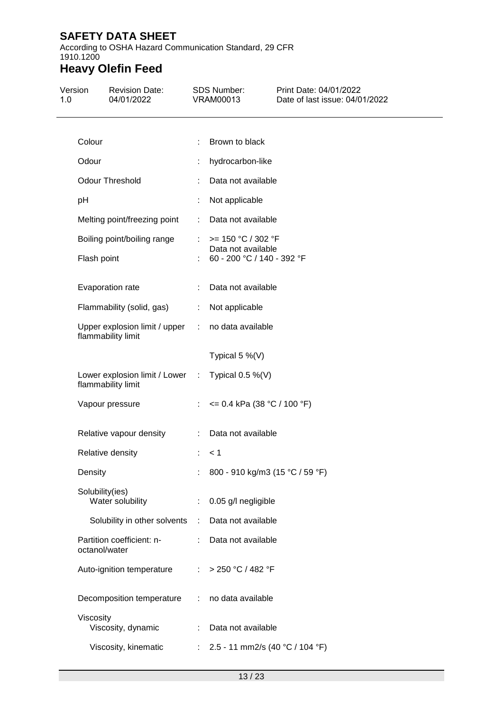According to OSHA Hazard Communication Standard, 29 CFR 1910.1200

| Version<br>1.0 | <b>Revision Date:</b><br>04/01/2022                   |            | SDS Number:<br><b>VRAM00013</b>                                          | Print Date: 04/01/2022<br>Date of last issue: 04/01/2022 |
|----------------|-------------------------------------------------------|------------|--------------------------------------------------------------------------|----------------------------------------------------------|
|                | Colour                                                | ÷          | Brown to black                                                           |                                                          |
|                | Odour                                                 |            | hydrocarbon-like                                                         |                                                          |
|                | Odour Threshold                                       |            | Data not available                                                       |                                                          |
|                | pH                                                    | ÷          | Not applicable                                                           |                                                          |
|                | Melting point/freezing point                          | ÷          | Data not available                                                       |                                                          |
|                | Boiling point/boiling range<br>Flash point            |            | $>= 150 °C / 302 °F$<br>Data not available<br>60 - 200 °C / 140 - 392 °F |                                                          |
|                | Evaporation rate                                      |            | Data not available                                                       |                                                          |
|                | Flammability (solid, gas)                             | ÷.         | Not applicable                                                           |                                                          |
|                | Upper explosion limit / upper<br>flammability limit   | $\sim 100$ | no data available                                                        |                                                          |
|                |                                                       |            | Typical $5\%$ (V)                                                        |                                                          |
|                | Lower explosion limit / Lower :<br>flammability limit |            | Typical $0.5\%$ (V)                                                      |                                                          |
|                | Vapour pressure                                       |            | : $\leq$ 0.4 kPa (38 °C / 100 °F)                                        |                                                          |
|                | Relative vapour density                               | ÷          | Data not available                                                       |                                                          |
|                | Relative density                                      |            | < 1                                                                      |                                                          |
|                | Density                                               |            | 800 - 910 kg/m3 (15 °C / 59 °F)                                          |                                                          |
|                | Solubility(ies)<br>Water solubility                   |            | 0.05 g/l negligible                                                      |                                                          |
|                | Solubility in other solvents                          | ÷          | Data not available                                                       |                                                          |
|                | Partition coefficient: n-<br>octanol/water            | t.         | Data not available                                                       |                                                          |
|                | Auto-ignition temperature                             | ÷          | > 250 °C / 482 °F                                                        |                                                          |
|                | Decomposition temperature                             | ÷          | no data available                                                        |                                                          |
|                | Viscosity<br>Viscosity, dynamic                       |            | Data not available                                                       |                                                          |
|                | Viscosity, kinematic                                  | ÷          | 2.5 - 11 mm2/s (40 °C / 104 °F)                                          |                                                          |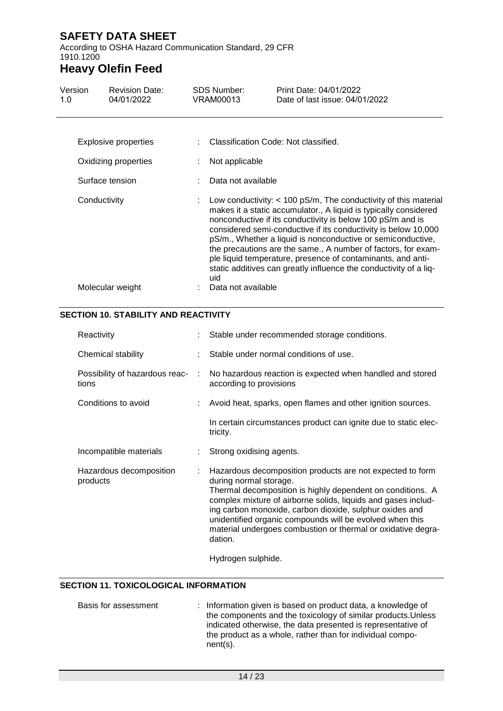According to OSHA Hazard Communication Standard, 29 CFR 1910.1200

# **Heavy Olefin Feed**

| Version<br>1.0 | <b>Revision Date:</b><br>04/01/2022          |     | SDS Number:<br><b>VRAM00013</b> | Print Date: 04/01/2022<br>Date of last issue: 04/01/2022                                                                                                                                                                                                                                                                                                                                                                                                                                                                                  |
|----------------|----------------------------------------------|-----|---------------------------------|-------------------------------------------------------------------------------------------------------------------------------------------------------------------------------------------------------------------------------------------------------------------------------------------------------------------------------------------------------------------------------------------------------------------------------------------------------------------------------------------------------------------------------------------|
|                | Explosive properties<br>Oxidizing properties |     | Not applicable                  | : Classification Code: Not classified.                                                                                                                                                                                                                                                                                                                                                                                                                                                                                                    |
|                | Surface tension                              |     | Data not available              |                                                                                                                                                                                                                                                                                                                                                                                                                                                                                                                                           |
| Conductivity   |                                              | uid |                                 | Low conductivity: $<$ 100 pS/m, The conductivity of this material<br>makes it a static accumulator., A liquid is typically considered<br>nonconductive if its conductivity is below 100 pS/m and is<br>considered semi-conductive if its conductivity is below 10,000<br>pS/m., Whether a liquid is nonconductive or semiconductive,<br>the precautions are the same., A number of factors, for exam-<br>ple liquid temperature, presence of contaminants, and anti-<br>static additives can greatly influence the conductivity of a liq- |
|                | Molecular weight                             |     | Data not available              |                                                                                                                                                                                                                                                                                                                                                                                                                                                                                                                                           |

### **SECTION 10. STABILITY AND REACTIVITY**

|   | : Stable under recommended storage conditions.                                                                                                                                                                                                                                                                                                                                                                       |
|---|----------------------------------------------------------------------------------------------------------------------------------------------------------------------------------------------------------------------------------------------------------------------------------------------------------------------------------------------------------------------------------------------------------------------|
|   | Stable under normal conditions of use.                                                                                                                                                                                                                                                                                                                                                                               |
| ÷ | No hazardous reaction is expected when handled and stored<br>according to provisions                                                                                                                                                                                                                                                                                                                                 |
|   | Avoid heat, sparks, open flames and other ignition sources.                                                                                                                                                                                                                                                                                                                                                          |
|   | In certain circumstances product can ignite due to static elec-<br>tricity.                                                                                                                                                                                                                                                                                                                                          |
|   | Strong oxidising agents.                                                                                                                                                                                                                                                                                                                                                                                             |
|   | Hazardous decomposition products are not expected to form<br>during normal storage.<br>Thermal decomposition is highly dependent on conditions. A<br>complex mixture of airborne solids, liquids and gases includ-<br>ing carbon monoxide, carbon dioxide, sulphur oxides and<br>unidentified organic compounds will be evolved when this<br>material undergoes combustion or thermal or oxidative degra-<br>dation. |
|   |                                                                                                                                                                                                                                                                                                                                                                                                                      |

Hydrogen sulphide.

### **SECTION 11. TOXICOLOGICAL INFORMATION**

| Basis for assessment | : Information given is based on product data, a knowledge of<br>the components and the toxicology of similar products. Unless<br>indicated otherwise, the data presented is representative of |
|----------------------|-----------------------------------------------------------------------------------------------------------------------------------------------------------------------------------------------|
|                      | the product as a whole, rather than for individual compo-<br>$nent(s)$ .                                                                                                                      |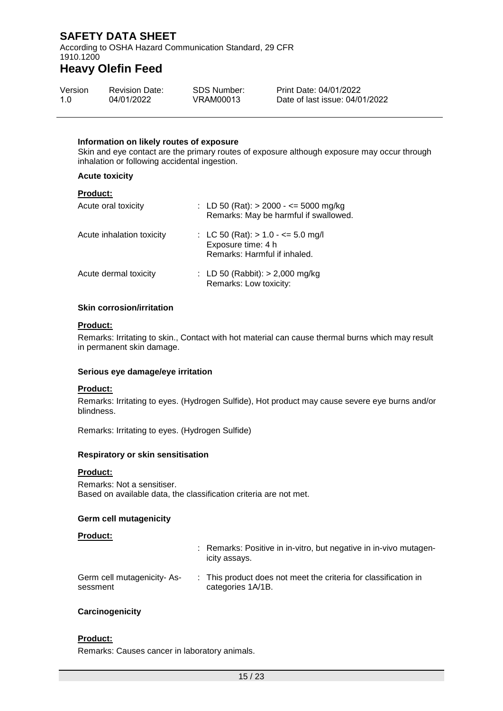According to OSHA Hazard Communication Standard, 29 CFR 1910.1200

## **Heavy Olefin Feed**

| Version | <b>Revision Date:</b> | SDS Number: | Print Date: 04/01/2022         |
|---------|-----------------------|-------------|--------------------------------|
| 1.0     | 04/01/2022            | VRAM00013   | Date of last issue: 04/01/2022 |

#### **Information on likely routes of exposure**

Skin and eye contact are the primary routes of exposure although exposure may occur through inhalation or following accidental ingestion.

#### **Acute toxicity**

### **Product:**

| Acute oral toxicity       | : LD 50 (Rat): $> 2000 - \le 5000$ mg/kg<br>Remarks: May be harmful if swallowed.           |
|---------------------------|---------------------------------------------------------------------------------------------|
| Acute inhalation toxicity | : LC 50 (Rat): $> 1.0 - \le 5.0$ mg/l<br>Exposure time: 4 h<br>Remarks: Harmful if inhaled. |
| Acute dermal toxicity     | : LD 50 (Rabbit): $> 2,000$ mg/kg<br>Remarks: Low toxicity:                                 |

#### **Skin corrosion/irritation**

#### **Product:**

Remarks: Irritating to skin., Contact with hot material can cause thermal burns which may result in permanent skin damage.

#### **Serious eye damage/eye irritation**

#### **Product:**

Remarks: Irritating to eyes. (Hydrogen Sulfide), Hot product may cause severe eye burns and/or blindness.

Remarks: Irritating to eyes. (Hydrogen Sulfide)

#### **Respiratory or skin sensitisation**

#### **Product:**

Remarks: Not a sensitiser. Based on available data, the classification criteria are not met.

#### **Germ cell mutagenicity**

#### **Product:**

|                                         | : Remarks: Positive in in-vitro, but negative in in-vivo mutagen-<br>icity assays.   |
|-----------------------------------------|--------------------------------------------------------------------------------------|
| Germ cell mutagenicity- As-<br>sessment | : This product does not meet the criteria for classification in<br>categories 1A/1B. |

#### **Carcinogenicity**

### **Product:**

Remarks: Causes cancer in laboratory animals.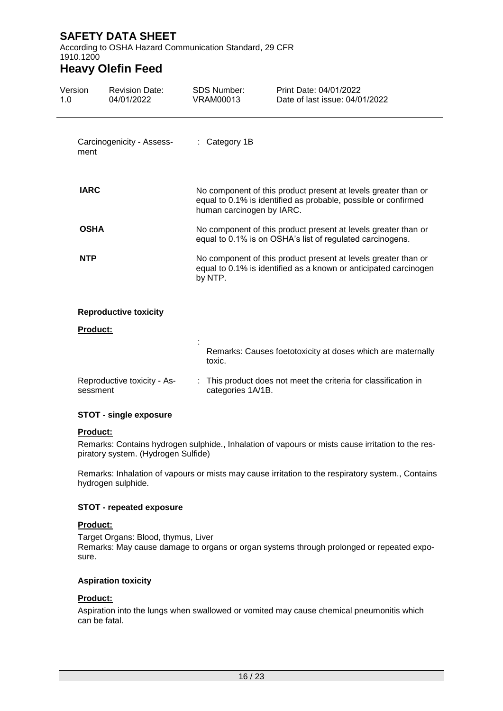According to OSHA Hazard Communication Standard, 29 CFR 1910.1200

## **Heavy Olefin Feed**

| Version<br>1.0 | <b>Revision Date:</b><br>04/01/2022     | <b>SDS Number:</b><br><b>VRAM00013</b> | Print Date: 04/01/2022<br>Date of last issue: 04/01/2022                                                                           |  |  |
|----------------|-----------------------------------------|----------------------------------------|------------------------------------------------------------------------------------------------------------------------------------|--|--|
| ment           | Carcinogenicity - Assess-               | $:$ Category 1B                        |                                                                                                                                    |  |  |
| <b>IARC</b>    |                                         | human carcinogen by IARC.              | No component of this product present at levels greater than or<br>equal to 0.1% is identified as probable, possible or confirmed   |  |  |
| <b>OSHA</b>    |                                         |                                        | No component of this product present at levels greater than or<br>equal to 0.1% is on OSHA's list of regulated carcinogens.        |  |  |
| <b>NTP</b>     |                                         | by NTP.                                | No component of this product present at levels greater than or<br>equal to 0.1% is identified as a known or anticipated carcinogen |  |  |
|                | <b>Reproductive toxicity</b>            |                                        |                                                                                                                                    |  |  |
|                | Product:                                |                                        |                                                                                                                                    |  |  |
|                |                                         | toxic.                                 | Remarks: Causes foetotoxicity at doses which are maternally                                                                        |  |  |
|                | Reproductive toxicity - As-<br>sessment | categories 1A/1B.                      | This product does not meet the criteria for classification in                                                                      |  |  |

#### **STOT - single exposure**

#### **Product:**

Remarks: Contains hydrogen sulphide., Inhalation of vapours or mists cause irritation to the respiratory system. (Hydrogen Sulfide)

Remarks: Inhalation of vapours or mists may cause irritation to the respiratory system., Contains hydrogen sulphide.

#### **STOT - repeated exposure**

#### **Product:**

Target Organs: Blood, thymus, Liver Remarks: May cause damage to organs or organ systems through prolonged or repeated exposure.

#### **Aspiration toxicity**

### **Product:**

Aspiration into the lungs when swallowed or vomited may cause chemical pneumonitis which can be fatal.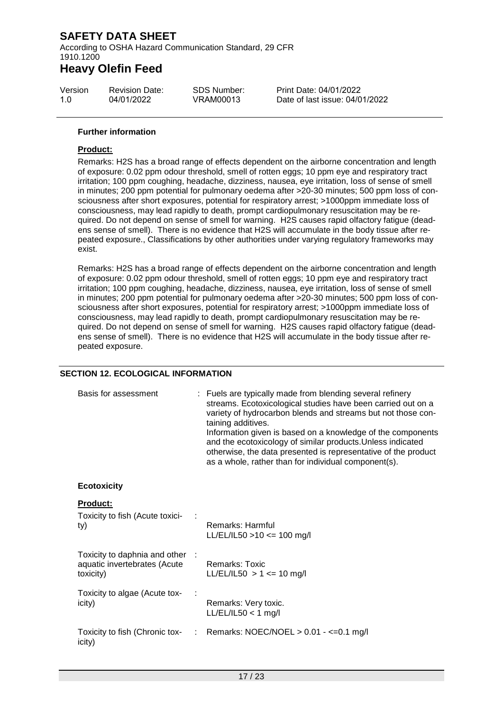According to OSHA Hazard Communication Standard, 29 CFR 1910.1200

## **Heavy Olefin Feed**

| Version | <b>Revision Date:</b> | SDS Number: |
|---------|-----------------------|-------------|
| 1.0     | 04/01/2022            | VRAM00013   |

Print Date: 04/01/2022 Date of last issue: 04/01/2022

#### **Further information**

#### **Product:**

Remarks: H2S has a broad range of effects dependent on the airborne concentration and length of exposure: 0.02 ppm odour threshold, smell of rotten eggs; 10 ppm eye and respiratory tract irritation; 100 ppm coughing, headache, dizziness, nausea, eye irritation, loss of sense of smell in minutes; 200 ppm potential for pulmonary oedema after >20-30 minutes; 500 ppm loss of consciousness after short exposures, potential for respiratory arrest; >1000ppm immediate loss of consciousness, may lead rapidly to death, prompt cardiopulmonary resuscitation may be required. Do not depend on sense of smell for warning. H2S causes rapid olfactory fatigue (deadens sense of smell). There is no evidence that H2S will accumulate in the body tissue after repeated exposure., Classifications by other authorities under varying regulatory frameworks may exist.

Remarks: H2S has a broad range of effects dependent on the airborne concentration and length of exposure: 0.02 ppm odour threshold, smell of rotten eggs; 10 ppm eye and respiratory tract irritation; 100 ppm coughing, headache, dizziness, nausea, eye irritation, loss of sense of smell in minutes; 200 ppm potential for pulmonary oedema after >20-30 minutes; 500 ppm loss of consciousness after short exposures, potential for respiratory arrest; >1000ppm immediate loss of consciousness, may lead rapidly to death, prompt cardiopulmonary resuscitation may be required. Do not depend on sense of smell for warning. H2S causes rapid olfactory fatigue (deadens sense of smell). There is no evidence that H2S will accumulate in the body tissue after repeated exposure.

#### **SECTION 12. ECOLOGICAL INFORMATION**

| Basis for assessment                                                         | : Fuels are typically made from blending several refinery<br>streams. Ecotoxicological studies have been carried out on a<br>variety of hydrocarbon blends and streams but not those con-<br>taining additives.<br>Information given is based on a knowledge of the components<br>and the ecotoxicology of similar products. Unless indicated<br>otherwise, the data presented is representative of the product<br>as a whole, rather than for individual component(s). |  |
|------------------------------------------------------------------------------|-------------------------------------------------------------------------------------------------------------------------------------------------------------------------------------------------------------------------------------------------------------------------------------------------------------------------------------------------------------------------------------------------------------------------------------------------------------------------|--|
| <b>Ecotoxicity</b>                                                           |                                                                                                                                                                                                                                                                                                                                                                                                                                                                         |  |
| <b>Product:</b><br>Toxicity to fish (Acute toxici-<br>ty)                    | Remarks: Harmful<br>$LL/EL/IL50 > 10 \le 100$ mg/l                                                                                                                                                                                                                                                                                                                                                                                                                      |  |
| Toxicity to daphnia and other :<br>aquatic invertebrates (Acute<br>toxicity) | Remarks: Toxic<br>LL/EL/IL50 $> 1 \le$ 10 mg/l                                                                                                                                                                                                                                                                                                                                                                                                                          |  |
| Toxicity to algae (Acute tox-<br>icity)                                      | Remarks: Very toxic.<br>$LL/EL/IL50 < 1$ mg/l                                                                                                                                                                                                                                                                                                                                                                                                                           |  |
| icity)                                                                       | Toxicity to fish (Chronic tox- : Remarks: NOEC/NOEL > 0.01 - <= 0.1 mg/l                                                                                                                                                                                                                                                                                                                                                                                                |  |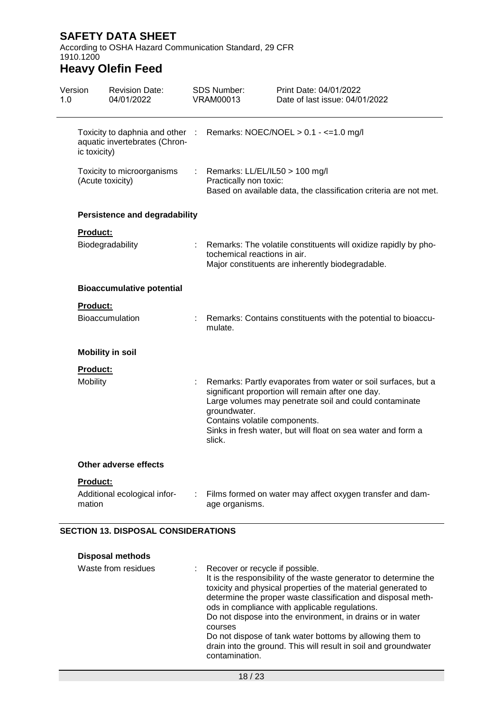According to OSHA Hazard Communication Standard, 29 CFR 1910.1200

# **Heavy Olefin Feed**

| Version<br>1.0 |                  | <b>Revision Date:</b><br>04/01/2022                              |    | <b>SDS Number:</b><br><b>VRAM00013</b>                   | Print Date: 04/01/2022<br>Date of last issue: 04/01/2022                                                                                                                                                                                     |
|----------------|------------------|------------------------------------------------------------------|----|----------------------------------------------------------|----------------------------------------------------------------------------------------------------------------------------------------------------------------------------------------------------------------------------------------------|
|                | ic toxicity)     | Toxicity to daphnia and other :<br>aquatic invertebrates (Chron- |    |                                                          | Remarks: NOEC/NOEL $> 0.1 - \le 1.0$ mg/l                                                                                                                                                                                                    |
|                | (Acute toxicity) | Toxicity to microorganisms                                       |    | Remarks: LL/EL/IL50 > 100 mg/l<br>Practically non toxic: | Based on available data, the classification criteria are not met.                                                                                                                                                                            |
|                |                  | <b>Persistence and degradability</b>                             |    |                                                          |                                                                                                                                                                                                                                              |
|                | <b>Product:</b>  |                                                                  |    |                                                          |                                                                                                                                                                                                                                              |
|                |                  | Biodegradability                                                 |    | tochemical reactions in air.                             | Remarks: The volatile constituents will oxidize rapidly by pho-<br>Major constituents are inherently biodegradable.                                                                                                                          |
|                |                  | <b>Bioaccumulative potential</b>                                 |    |                                                          |                                                                                                                                                                                                                                              |
|                | <b>Product:</b>  |                                                                  |    |                                                          |                                                                                                                                                                                                                                              |
|                |                  | Bioaccumulation                                                  |    | mulate.                                                  | Remarks: Contains constituents with the potential to bioaccu-                                                                                                                                                                                |
|                |                  | <b>Mobility in soil</b>                                          |    |                                                          |                                                                                                                                                                                                                                              |
|                | <b>Product:</b>  |                                                                  |    |                                                          |                                                                                                                                                                                                                                              |
|                | Mobility         |                                                                  | t, | groundwater.<br>Contains volatile components.<br>slick.  | Remarks: Partly evaporates from water or soil surfaces, but a<br>significant proportion will remain after one day.<br>Large volumes may penetrate soil and could contaminate<br>Sinks in fresh water, but will float on sea water and form a |
|                |                  | <b>Other adverse effects</b>                                     |    |                                                          |                                                                                                                                                                                                                                              |
|                | Product:         |                                                                  |    |                                                          |                                                                                                                                                                                                                                              |
|                | mation           | Additional ecological infor-                                     |    | age organisms.                                           | Films formed on water may affect oxygen transfer and dam-                                                                                                                                                                                    |

### **SECTION 13. DISPOSAL CONSIDERATIONS**

| <b>Disposal methods</b> |                                                                                                                                                                                                                                                                                                                                                                                                                                                                                                                    |
|-------------------------|--------------------------------------------------------------------------------------------------------------------------------------------------------------------------------------------------------------------------------------------------------------------------------------------------------------------------------------------------------------------------------------------------------------------------------------------------------------------------------------------------------------------|
| Waste from residues     | : Recover or recycle if possible.<br>It is the responsibility of the waste generator to determine the<br>toxicity and physical properties of the material generated to<br>determine the proper waste classification and disposal meth-<br>ods in compliance with applicable regulations.<br>Do not dispose into the environment, in drains or in water<br>courses<br>Do not dispose of tank water bottoms by allowing them to<br>drain into the ground. This will result in soil and groundwater<br>contamination. |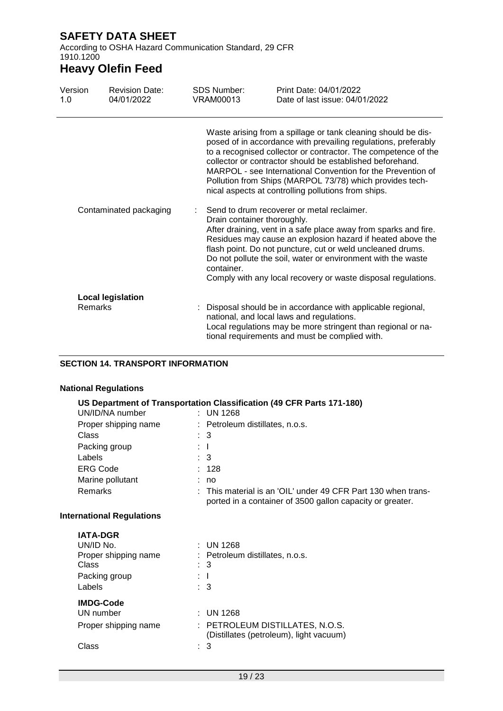According to OSHA Hazard Communication Standard, 29 CFR 1910.1200

# **Heavy Olefin Feed**

| Version<br>1.0         | <b>Revision Date:</b><br>04/01/2022 | <b>SDS Number:</b><br><b>VRAM00013</b>    | Print Date: 04/01/2022<br>Date of last issue: 04/01/2022                                                                                                                                                                                                                                                                                                                                                                                         |
|------------------------|-------------------------------------|-------------------------------------------|--------------------------------------------------------------------------------------------------------------------------------------------------------------------------------------------------------------------------------------------------------------------------------------------------------------------------------------------------------------------------------------------------------------------------------------------------|
|                        |                                     |                                           | Waste arising from a spillage or tank cleaning should be dis-<br>posed of in accordance with prevailing regulations, preferably<br>to a recognised collector or contractor. The competence of the<br>collector or contractor should be established beforehand.<br>MARPOL - see International Convention for the Prevention of<br>Pollution from Ships (MARPOL 73/78) which provides tech-<br>nical aspects at controlling pollutions from ships. |
| Contaminated packaging |                                     | Drain container thoroughly.<br>container. | Send to drum recoverer or metal reclaimer.<br>After draining, vent in a safe place away from sparks and fire.<br>Residues may cause an explosion hazard if heated above the<br>flash point. Do not puncture, cut or weld uncleaned drums.<br>Do not pollute the soil, water or environment with the waste<br>Comply with any local recovery or waste disposal regulations.                                                                       |
| <b>Remarks</b>         | <b>Local legislation</b>            |                                           | : Disposal should be in accordance with applicable regional,<br>national, and local laws and regulations.<br>Local regulations may be more stringent than regional or na-<br>tional requirements and must be complied with.                                                                                                                                                                                                                      |

#### **SECTION 14. TRANSPORT INFORMATION**

### **National Regulations**

|                                  | US Department of Transportation Classification (49 CFR Parts 171-180)                                                          |
|----------------------------------|--------------------------------------------------------------------------------------------------------------------------------|
| UN/ID/NA number                  | $\pm$ UN 1268                                                                                                                  |
| Proper shipping name             | : Petroleum distillates, n.o.s.                                                                                                |
| <b>Class</b>                     | $\therefore$ 3                                                                                                                 |
| Packing group                    | $\pm$ 1.                                                                                                                       |
| Labels                           | $\therefore$ 3                                                                                                                 |
| <b>ERG Code</b>                  | : 128                                                                                                                          |
| Marine pollutant                 | : no                                                                                                                           |
| Remarks                          | $\pm$ This material is an 'OIL' under 49 CFR Part 130 when trans-<br>ported in a container of 3500 gallon capacity or greater. |
| <b>International Regulations</b> |                                                                                                                                |
| <b>IATA-DGR</b>                  |                                                                                                                                |
| UN/ID No.                        | $\pm$ UN 1268                                                                                                                  |
| Proper shipping name             | : Petroleum distillates, n.o.s.                                                                                                |
| Class                            | $\therefore$ 3                                                                                                                 |
| Packing group                    | ÷ L                                                                                                                            |
| Labels                           | $\therefore$ 3                                                                                                                 |
| <b>IMDG-Code</b>                 |                                                                                                                                |
| UN number                        | $:$ UN 1268                                                                                                                    |
| Proper shipping name             | : PETROLEUM DISTILLATES, N.O.S.<br>(Distillates (petroleum), light vacuum)                                                     |
| Class                            | 3                                                                                                                              |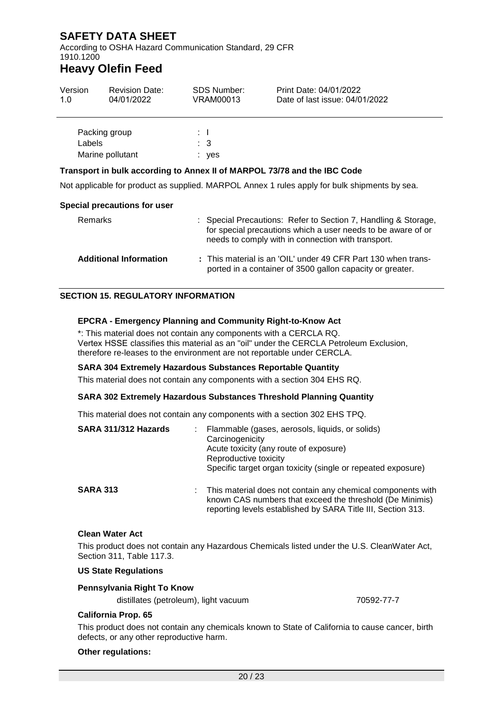According to OSHA Hazard Communication Standard, 29 CFR 1910.1200

## **Heavy Olefin Feed**

| Version<br>1.0                                                           | <b>Revision Date:</b><br>04/01/2022 | <b>SDS Number:</b><br>VRAM00013 | Print Date: 04/01/2022<br>Date of last issue: 04/01/2022                                                                                                                             |  |
|--------------------------------------------------------------------------|-------------------------------------|---------------------------------|--------------------------------------------------------------------------------------------------------------------------------------------------------------------------------------|--|
| Labels                                                                   | Packing group                       | $\mathbf{1}$<br>$\therefore$ 3  |                                                                                                                                                                                      |  |
| Marine pollutant                                                         |                                     | : yes                           |                                                                                                                                                                                      |  |
| Transport in bulk according to Annex II of MARPOL 73/78 and the IBC Code |                                     |                                 |                                                                                                                                                                                      |  |
|                                                                          |                                     |                                 | Not applicable for product as supplied. MARPOL Annex 1 rules apply for bulk shipments by sea.                                                                                        |  |
|                                                                          | Special precautions for user        |                                 |                                                                                                                                                                                      |  |
| Remarks                                                                  |                                     |                                 | : Special Precautions: Refer to Section 7, Handling & Storage,<br>for special precautions which a user needs to be aware of or<br>needs to comply with in connection with transport. |  |

| <b>Additional Information</b> | : This material is an 'OIL' under 49 CFR Part 130 when trans-<br>ported in a container of 3500 gallon capacity or greater. |
|-------------------------------|----------------------------------------------------------------------------------------------------------------------------|

### **SECTION 15. REGULATORY INFORMATION**

#### **EPCRA - Emergency Planning and Community Right-to-Know Act**

\*: This material does not contain any components with a CERCLA RQ. Vertex HSSE classifies this material as an "oil" under the CERCLA Petroleum Exclusion, therefore re-leases to the environment are not reportable under CERCLA.

#### **SARA 304 Extremely Hazardous Substances Reportable Quantity**

This material does not contain any components with a section 304 EHS RQ.

#### **SARA 302 Extremely Hazardous Substances Threshold Planning Quantity**

This material does not contain any components with a section 302 EHS TPQ.

| SARA 311/312 Hazards | Flammable (gases, aerosols, liquids, or solids)<br>Carcinogenicity<br>Acute toxicity (any route of exposure)<br>Reproductive toxicity<br>Specific target organ toxicity (single or repeated exposure) |
|----------------------|-------------------------------------------------------------------------------------------------------------------------------------------------------------------------------------------------------|
| <b>SARA 313</b>      | This material does not contain any chemical components with<br>known CAS numbers that exceed the threshold (De Minimis)<br>reporting levels established by SARA Title III, Section 313.               |

#### **Clean Water Act**

This product does not contain any Hazardous Chemicals listed under the U.S. CleanWater Act, Section 311, Table 117.3.

#### **US State Regulations**

#### **Pennsylvania Right To Know**

distillates (petroleum), light vacuum 70592-77-7

#### **California Prop. 65**

This product does not contain any chemicals known to State of California to cause cancer, birth defects, or any other reproductive harm.

#### **Other regulations:**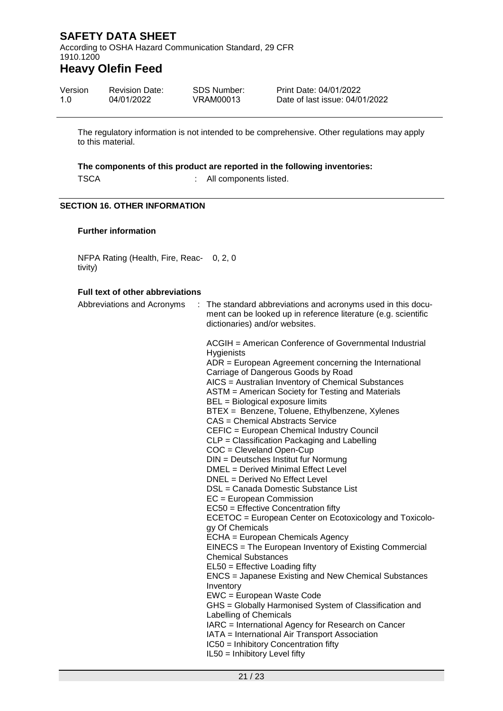According to OSHA Hazard Communication Standard, 29 CFR 1910.1200

### **Heavy Olefin Feed**

| Version | <b>Revision Date:</b> | SDS Number: | Print Date: 04/01/2022         |
|---------|-----------------------|-------------|--------------------------------|
| 1.0     | 04/01/2022            | VRAM00013   | Date of last issue: 04/01/2022 |

The regulatory information is not intended to be comprehensive. Other regulations may apply to this material.

#### **The components of this product are reported in the following inventories:**

TSCA : All components listed.

#### **SECTION 16. OTHER INFORMATION**

#### **Further information**

NFPA Rating (Health, Fire, Reac-0, 2, 0 tivity)

### **Full text of other abbreviations**

| Abbreviations and Acronyms |  | : The standard abbreviations and acronyms used in this docu-<br>ment can be looked up in reference literature (e.g. scientific<br>dictionaries) and/or websites. |
|----------------------------|--|------------------------------------------------------------------------------------------------------------------------------------------------------------------|
|                            |  | ACGIH = American Conference of Governmental Industrial<br>Hygienists                                                                                             |
|                            |  | ADR = European Agreement concerning the International                                                                                                            |
|                            |  | Carriage of Dangerous Goods by Road<br>AICS = Australian Inventory of Chemical Substances                                                                        |
|                            |  | ASTM = American Society for Testing and Materials                                                                                                                |
|                            |  | BEL = Biological exposure limits                                                                                                                                 |
|                            |  | BTEX = Benzene, Toluene, Ethylbenzene, Xylenes                                                                                                                   |
|                            |  | <b>CAS = Chemical Abstracts Service</b>                                                                                                                          |
|                            |  | CEFIC = European Chemical Industry Council                                                                                                                       |
|                            |  | CLP = Classification Packaging and Labelling                                                                                                                     |
|                            |  | $COC = Cleveland Open-Cup$                                                                                                                                       |
|                            |  | DIN = Deutsches Institut fur Normung                                                                                                                             |
|                            |  | DMEL = Derived Minimal Effect Level                                                                                                                              |
|                            |  | DNEL = Derived No Effect Level                                                                                                                                   |
|                            |  | DSL = Canada Domestic Substance List                                                                                                                             |
|                            |  | $EC = European Commission$                                                                                                                                       |
|                            |  | EC50 = Effective Concentration fifty<br>ECETOC = European Center on Ecotoxicology and Toxicolo-                                                                  |
|                            |  | gy Of Chemicals                                                                                                                                                  |
|                            |  | ECHA = European Chemicals Agency                                                                                                                                 |
|                            |  | EINECS = The European Inventory of Existing Commercial                                                                                                           |
|                            |  | <b>Chemical Substances</b>                                                                                                                                       |
|                            |  | EL50 = Effective Loading fifty                                                                                                                                   |
|                            |  | ENCS = Japanese Existing and New Chemical Substances<br>Inventory                                                                                                |
|                            |  | EWC = European Waste Code                                                                                                                                        |
|                            |  | GHS = Globally Harmonised System of Classification and                                                                                                           |
|                            |  | Labelling of Chemicals                                                                                                                                           |
|                            |  | IARC = International Agency for Research on Cancer                                                                                                               |
|                            |  | IATA = International Air Transport Association                                                                                                                   |
|                            |  | IC50 = Inhibitory Concentration fifty                                                                                                                            |
|                            |  | IL50 = Inhibitory Level fifty                                                                                                                                    |
|                            |  |                                                                                                                                                                  |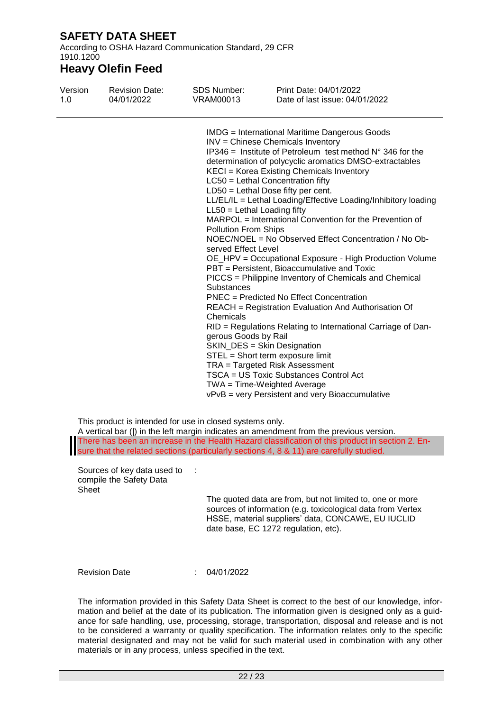According to OSHA Hazard Communication Standard, 29 CFR 1910.1200

### **Heavy Olefin Feed**

| Version | <b>Revision Date:</b> | SDS Number:                                                                                                                            | Print Date: 04/01/2022                                                                                                                                                                                                                                                                                                                                                                                                                                                                                                                                                                                                                                                                                                                                                                                                                                                                                                                                                                                                                                                                                                |
|---------|-----------------------|----------------------------------------------------------------------------------------------------------------------------------------|-----------------------------------------------------------------------------------------------------------------------------------------------------------------------------------------------------------------------------------------------------------------------------------------------------------------------------------------------------------------------------------------------------------------------------------------------------------------------------------------------------------------------------------------------------------------------------------------------------------------------------------------------------------------------------------------------------------------------------------------------------------------------------------------------------------------------------------------------------------------------------------------------------------------------------------------------------------------------------------------------------------------------------------------------------------------------------------------------------------------------|
| 1.0     | 04/01/2022            | VRAM00013                                                                                                                              | Date of last issue: 04/01/2022                                                                                                                                                                                                                                                                                                                                                                                                                                                                                                                                                                                                                                                                                                                                                                                                                                                                                                                                                                                                                                                                                        |
|         |                       | $LL50 = Lethal$ Loading fifty<br><b>Pollution From Ships</b><br>served Effect Level<br>Substances<br>Chemicals<br>gerous Goods by Rail | <b>IMDG</b> = International Maritime Dangerous Goods<br>INV = Chinese Chemicals Inventory<br>IP346 = Institute of Petroleum test method $N^{\circ}$ 346 for the<br>determination of polycyclic aromatics DMSO-extractables<br>KECI = Korea Existing Chemicals Inventory<br>LC50 = Lethal Concentration fifty<br>$LD50 = Lethal Does fifty per cent.$<br>LL/EL/IL = Lethal Loading/Effective Loading/Inhibitory loading<br>MARPOL = International Convention for the Prevention of<br>NOEC/NOEL = No Observed Effect Concentration / No Ob-<br>OE_HPV = Occupational Exposure - High Production Volume<br>PBT = Persistent, Bioaccumulative and Toxic<br>PICCS = Philippine Inventory of Chemicals and Chemical<br>PNEC = Predicted No Effect Concentration<br>REACH = Registration Evaluation And Authorisation Of<br>RID = Regulations Relating to International Carriage of Dan-<br>SKIN_DES = Skin Designation<br>STEL = Short term exposure limit<br>TRA = Targeted Risk Assessment<br>TSCA = US Toxic Substances Control Act<br>$TWA = Time-Weighted Average$<br>vPvB = very Persistent and very Bioaccumulative |

This product is intended for use in closed systems only.

A vertical bar (|) in the left margin indicates an amendment from the previous version. There has been an increase in the Health Hazard classification of this product in section 2. Ensure that the related sections (particularly sections 4, 8 & 11) are carefully studied.

Sources of key data used to : compile the Safety Data Sheet

The quoted data are from, but not limited to, one or more sources of information (e.g. toxicological data from Vertex HSSE, material suppliers' data, CONCAWE, EU IUCLID date base, EC 1272 regulation, etc).

Revision Date : 04/01/2022

The information provided in this Safety Data Sheet is correct to the best of our knowledge, information and belief at the date of its publication. The information given is designed only as a guidance for safe handling, use, processing, storage, transportation, disposal and release and is not to be considered a warranty or quality specification. The information relates only to the specific material designated and may not be valid for such material used in combination with any other materials or in any process, unless specified in the text.